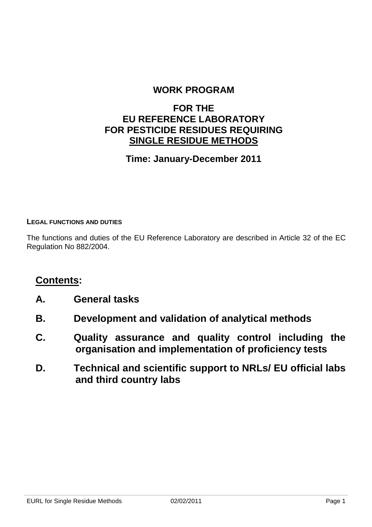### **WORK PROGRAM**

### **FOR THE EU REFERENCE LABORATORY FOR PESTICIDE RESIDUES REQUIRING SINGLE RESIDUE METHODS**

### **Time: January-December 2011**

#### **LEGAL FUNCTIONS AND DUTIES**

The functions and duties of the EU Reference Laboratory are described in Article 32 of the EC Regulation No 882/2004.

### **Contents:**

- **A. General tasks**
- **B. Development and validation of analytical methods**
- **C. Quality assurance and quality control including the organisation and implementation of proficiency tests**
- **D. Technical and scientific support to NRLs/ EU official labs and third country labs**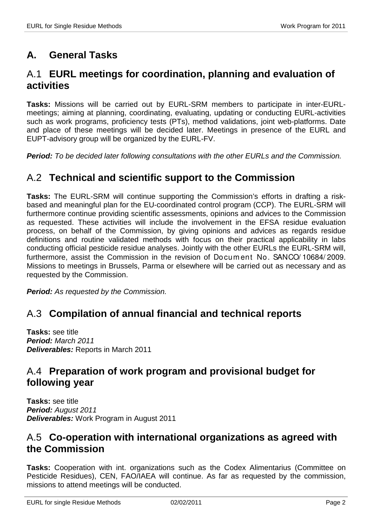# **A. General Tasks**

# A.1 **EURL meetings for coordination, planning and evaluation of activities**

**Tasks:** Missions will be carried out by EURL-SRM members to participate in inter-EURLmeetings; aiming at planning, coordinating, evaluating, updating or conducting EURL-activities such as work programs, proficiency tests (PTs), method validations, joint web-platforms. Date and place of these meetings will be decided later. Meetings in presence of the EURL and EUPT-advisory group will be organized by the EURL-FV.

**Period:** To be decided later following consultations with the other EURLs and the Commission.

#### A.2 **Technical and scientific support to the Commission**

**Tasks:** The EURL-SRM will continue supporting the Commission's efforts in drafting a riskbased and meaningful plan for the EU-coordinated control program (CCP). The EURL-SRM will furthermore continue providing scientific assessments, opinions and advices to the Commission as requested. These activities will include the involvement in the EFSA residue evaluation process, on behalf of the Commission, by giving opinions and advices as regards residue definitions and routine validated methods with focus on their practical applicability in labs conducting official pesticide residue analyses. Jointly with the other EURLs the EURL-SRM will, furthermore, assist the Commission in the revision of Docum ent No. SANCO/ 10684/ 2009. Missions to meetings in Brussels, Parma or elsewhere will be carried out as necessary and as requested by the Commission.

**Period:** As requested by the Commission.

# A.3 **Compilation of annual financial and technical reports**

**Tasks:** see title **Period:** March 2011 **Deliverables:** Reports in March 2011

# A.4 **Preparation of work program and provisional budget for following year**

**Tasks:** see title **Period:** August 2011 **Deliverables:** Work Program in August 2011

# A.5 **Co-operation with international organizations as agreed with the Commission**

**Tasks:** Cooperation with int. organizations such as the Codex Alimentarius (Committee on Pesticide Residues), CEN, FAO/IAEA will continue. As far as requested by the commission, missions to attend meetings will be conducted.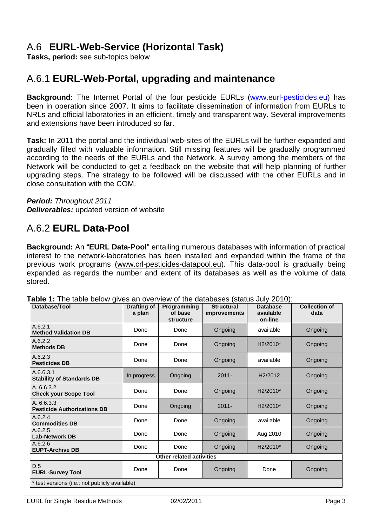# A.6 **EURL-Web-Service (Horizontal Task)**

**Tasks, period:** see sub-topics below

# A.6.1 **EURL-Web-Portal, upgrading and maintenance**

**Background:** The Internet Portal of the four pesticide EURLs (www.eurl-pesticides.eu) has been in operation since 2007. It aims to facilitate dissemination of information from EURLs to NRLs and official laboratories in an efficient, timely and transparent way. Several improvements and extensions have been introduced so far.

**Task:** In 2011 the portal and the individual web-sites of the EURLs will be further expanded and gradually filled with valuable information. Still missing features will be gradually programmed according to the needs of the EURLs and the Network. A survey among the members of the Network will be conducted to get a feedback on the website that will help planning of further upgrading steps. The strategy to be followed will be discussed with the other EURLs and in close consultation with the COM.

**Period:** Throughout 2011 **Deliverables:** updated version of website

### A.6.2 **EURL Data-Pool**

**Background:** An "**EURL Data-Pool**" entailing numerous databases with information of practical interest to the network-laboratories has been installed and expanded within the frame of the previous work programs (www.crl-pesticides-datapool.eu). This data-pool is gradually being expanded as regards the number and extent of its databases as well as the volume of data stored.

| Database/Tool                                    | <b>Drafting of</b><br>a plan | Programming<br>of base<br><b>structure</b> | <b>Structural</b><br><i>improvements</i> | <b>Database</b><br>available<br>on-line | <b>Collection of</b><br>data |
|--------------------------------------------------|------------------------------|--------------------------------------------|------------------------------------------|-----------------------------------------|------------------------------|
| A.6.2.1<br><b>Method Validation DB</b>           | Done                         | Done                                       | Ongoing                                  | available                               | Ongoing                      |
| A.6.2.2<br><b>Methods DB</b>                     | Done                         | Done                                       | Ongoing                                  | H <sub>2</sub> /2010*                   | Ongoing                      |
| A.6.2.3<br><b>Pesticides DB</b>                  | Done                         | Done                                       | Ongoing                                  | available                               | Ongoing                      |
| A.6.6.3.1<br><b>Stability of Standards DB</b>    | In progress                  | Ongoing                                    | $2011 -$                                 | H <sub>2</sub> /2012                    | Ongoing                      |
| A.6.6.3.2<br><b>Check your Scope Tool</b>        | Done                         | Done                                       | Ongoing                                  | H <sub>2</sub> /2010*                   | Ongoing                      |
| A. 6.6.3.3<br><b>Pesticide Authorizations DB</b> | Done                         | Ongoing                                    | $2011 -$                                 | H <sub>2</sub> /2010*                   | Ongoing                      |
| A.6.2.4<br><b>Commodities DB</b>                 | Done                         | Done                                       | Ongoing                                  | available                               | Ongoing                      |
| A.6.2.5<br><b>Lab-Network DB</b>                 | Done                         | Done                                       | Ongoing                                  | Aug 2010                                | Ongoing                      |
| A.6.2.6<br><b>EUPT-Archive DB</b>                | Done                         | Done                                       | Ongoing                                  | H <sub>2</sub> /2010*                   | Ongoing                      |
| Other related activities                         |                              |                                            |                                          |                                         |                              |
| D.5<br><b>EURL-Survey Tool</b>                   | Done                         | Done                                       | Ongoing                                  | Done                                    | Ongoing                      |
| * test versions (i.e.: not publicly available)   |                              |                                            |                                          |                                         |                              |

**Table 1:** The table below gives an overview of the databases (status July 2010):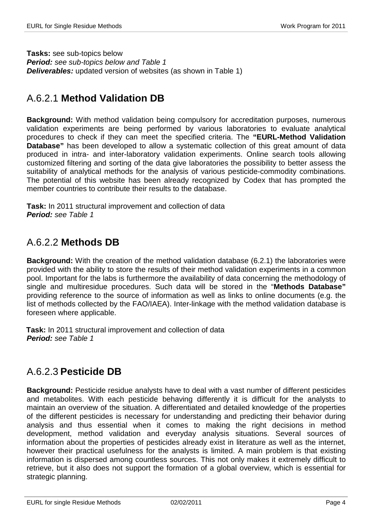**Tasks:** see sub-topics below **Period:** see sub-topics below and Table 1 **Deliverables:** updated version of websites (as shown in Table 1)

# A.6.2.1 **Method Validation DB**

**Background:** With method validation being compulsory for accreditation purposes, numerous validation experiments are being performed by various laboratories to evaluate analytical procedures to check if they can meet the specified criteria. The **"EURL-Method Validation Database"** has been developed to allow a systematic collection of this great amount of data produced in intra- and inter-laboratory validation experiments. Online search tools allowing customized filtering and sorting of the data give laboratories the possibility to better assess the suitability of analytical methods for the analysis of various pesticide-commodity combinations. The potential of this website has been already recognized by Codex that has prompted the member countries to contribute their results to the database.

**Task:** In 2011 structural improvement and collection of data **Period:** see Table 1

# A.6.2.2 **Methods DB**

**Background:** With the creation of the method validation database (6.2.1) the laboratories were provided with the ability to store the results of their method validation experiments in a common pool. Important for the labs is furthermore the availability of data concerning the methodology of single and multiresidue procedures. Such data will be stored in the "**Methods Database"** providing reference to the source of information as well as links to online documents (e.g. the list of methods collected by the FAO/IAEA). Inter-linkage with the method validation database is foreseen where applicable.

**Task:** In 2011 structural improvement and collection of data **Period:** see Table 1

# A.6.2.3 **Pesticide DB**

**Background:** Pesticide residue analysts have to deal with a vast number of different pesticides and metabolites. With each pesticide behaving differently it is difficult for the analysts to maintain an overview of the situation. A differentiated and detailed knowledge of the properties of the different pesticides is necessary for understanding and predicting their behavior during analysis and thus essential when it comes to making the right decisions in method development, method validation and everyday analysis situations. Several sources of information about the properties of pesticides already exist in literature as well as the internet, however their practical usefulness for the analysts is limited. A main problem is that existing information is dispersed among countless sources. This not only makes it extremely difficult to retrieve, but it also does not support the formation of a global overview, which is essential for strategic planning.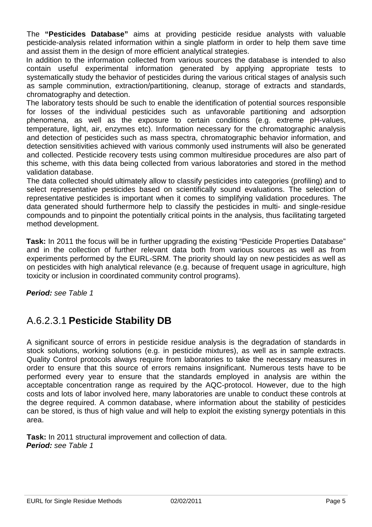The **"Pesticides Database"** aims at providing pesticide residue analysts with valuable pesticide-analysis related information within a single platform in order to help them save time and assist them in the design of more efficient analytical strategies.

In addition to the information collected from various sources the database is intended to also contain useful experimental information generated by applying appropriate tests to systematically study the behavior of pesticides during the various critical stages of analysis such as sample comminution, extraction/partitioning, cleanup, storage of extracts and standards, chromatography and detection.

The laboratory tests should be such to enable the identification of potential sources responsible for losses of the individual pesticides such as unfavorable partitioning and adsorption phenomena, as well as the exposure to certain conditions (e.g. extreme pH-values, temperature, light, air, enzymes etc). Information necessary for the chromatographic analysis and detection of pesticides such as mass spectra, chromatographic behavior information, and detection sensitivities achieved with various commonly used instruments will also be generated and collected. Pesticide recovery tests using common multiresidue procedures are also part of this scheme, with this data being collected from various laboratories and stored in the method validation database.

The data collected should ultimately allow to classify pesticides into categories (profiling) and to select representative pesticides based on scientifically sound evaluations. The selection of representative pesticides is important when it comes to simplifying validation procedures. The data generated should furthermore help to classify the pesticides in multi- and single-residue compounds and to pinpoint the potentially critical points in the analysis, thus facilitating targeted method development.

**Task:** In 2011 the focus will be in further upgrading the existing "Pesticide Properties Database" and in the collection of further relevant data both from various sources as well as from experiments performed by the EURL-SRM. The priority should lay on new pesticides as well as on pesticides with high analytical relevance (e.g. because of frequent usage in agriculture, high toxicity or inclusion in coordinated community control programs).

**Period:** see Table 1

# A.6.2.3.1 **Pesticide Stability DB**

A significant source of errors in pesticide residue analysis is the degradation of standards in stock solutions, working solutions (e.g. in pesticide mixtures), as well as in sample extracts. Quality Control protocols always require from laboratories to take the necessary measures in order to ensure that this source of errors remains insignificant. Numerous tests have to be performed every year to ensure that the standards employed in analysis are within the acceptable concentration range as required by the AQC-protocol. However, due to the high costs and lots of labor involved here, many laboratories are unable to conduct these controls at the degree required. A common database, where information about the stability of pesticides can be stored, is thus of high value and will help to exploit the existing synergy potentials in this area.

**Task:** In 2011 structural improvement and collection of data. **Period:** see Table 1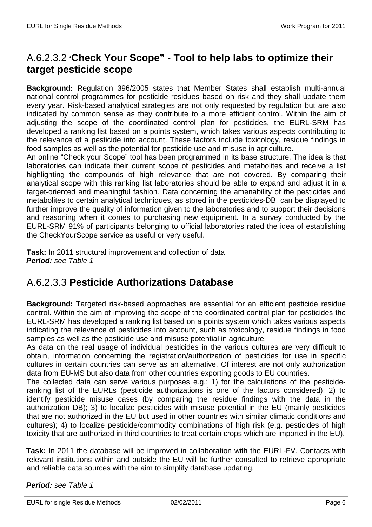# A.6.2.3.2 "**Check Your Scope" - Tool to help labs to optimize their target pesticide scope**

**Background:** Regulation 396/2005 states that Member States shall establish multi-annual national control programmes for pesticide residues based on risk and they shall update them every year. Risk-based analytical strategies are not only requested by regulation but are also indicated by common sense as they contribute to a more efficient control. Within the aim of adjusting the scope of the coordinated control plan for pesticides, the EURL-SRM has developed a ranking list based on a points system, which takes various aspects contributing to the relevance of a pesticide into account. These factors include toxicology, residue findings in food samples as well as the potential for pesticide use and misuse in agriculture.

An online "Check your Scope" tool has been programmed in its base structure. The idea is that laboratories can indicate their current scope of pesticides and metabolites and receive a list highlighting the compounds of high relevance that are not covered. By comparing their analytical scope with this ranking list laboratories should be able to expand and adjust it in a target-oriented and meaningful fashion. Data concerning the amenability of the pesticides and metabolites to certain analytical techniques, as stored in the pesticides-DB, can be displayed to further improve the quality of information given to the laboratories and to support their decisions and reasoning when it comes to purchasing new equipment. In a survey conducted by the EURL-SRM 91% of participants belonging to official laboratories rated the idea of establishing the CheckYourScope service as useful or very useful.

**Task:** In 2011 structural improvement and collection of data **Period:** see Table 1

# A.6.2.3.3 **Pesticide Authorizations Database**

**Background:** Targeted risk-based approaches are essential for an efficient pesticide residue control. Within the aim of improving the scope of the coordinated control plan for pesticides the EURL-SRM has developed a ranking list based on a points system which takes various aspects indicating the relevance of pesticides into account, such as toxicology, residue findings in food samples as well as the pesticide use and misuse potential in agriculture.

As data on the real usage of individual pesticides in the various cultures are very difficult to obtain, information concerning the registration/authorization of pesticides for use in specific cultures in certain countries can serve as an alternative. Of interest are not only authorization data from EU-MS but also data from other countries exporting goods to EU countries.

The collected data can serve various purposes e.g.: 1) for the calculations of the pesticideranking list of the EURLs (pesticide authorizations is one of the factors considered); 2) to identify pesticide misuse cases (by comparing the residue findings with the data in the authorization DB); 3) to localize pesticides with misuse potential in the EU (mainly pesticides that are not authorized in the EU but used in other countries with similar climatic conditions and cultures); 4) to localize pesticide/commodity combinations of high risk (e.g. pesticides of high toxicity that are authorized in third countries to treat certain crops which are imported in the EU).

**Task:** In 2011 the database will be improved in collaboration with the EURL-FV. Contacts with relevant institutions within and outside the EU will be further consulted to retrieve appropriate and reliable data sources with the aim to simplify database updating.

#### **Period:** see Table 1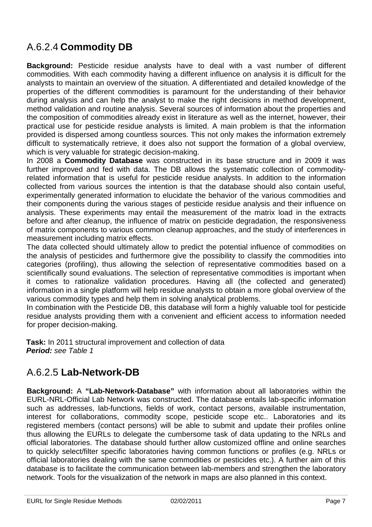# A.6.2.4 **Commodity DB**

**Background:** Pesticide residue analysts have to deal with a vast number of different commodities. With each commodity having a different influence on analysis it is difficult for the analysts to maintain an overview of the situation. A differentiated and detailed knowledge of the properties of the different commodities is paramount for the understanding of their behavior during analysis and can help the analyst to make the right decisions in method development, method validation and routine analysis. Several sources of information about the properties and the composition of commodities already exist in literature as well as the internet, however, their practical use for pesticide residue analysts is limited. A main problem is that the information provided is dispersed among countless sources. This not only makes the information extremely difficult to systematically retrieve, it does also not support the formation of a global overview, which is very valuable for strategic decision-making.

In 2008 a **Commodity Database** was constructed in its base structure and in 2009 it was further improved and fed with data. The DB allows the systematic collection of commodityrelated information that is useful for pesticide residue analysts. In addition to the information collected from various sources the intention is that the database should also contain useful, experimentally generated information to elucidate the behavior of the various commodities and their components during the various stages of pesticide residue analysis and their influence on analysis. These experiments may entail the measurement of the matrix load in the extracts before and after cleanup, the influence of matrix on pesticide degradation, the responsiveness of matrix components to various common cleanup approaches, and the study of interferences in measurement including matrix effects.

The data collected should ultimately allow to predict the potential influence of commodities on the analysis of pesticides and furthermore give the possibility to classify the commodities into categories (profiling), thus allowing the selection of representative commodities based on a scientifically sound evaluations. The selection of representative commodities is important when it comes to rationalize validation procedures. Having all (the collected and generated) information in a single platform will help residue analysts to obtain a more global overview of the various commodity types and help them in solving analytical problems.

In combination with the Pesticide DB, this database will form a highly valuable tool for pesticide residue analysts providing them with a convenient and efficient access to information needed for proper decision-making.

**Task:** In 2011 structural improvement and collection of data **Period:** see Table 1

# A.6.2.5 **Lab-Network-DB**

**Background:** A **"Lab-Network-Database"** with information about all laboratories within the EURL-NRL-Official Lab Network was constructed. The database entails lab-specific information such as addresses, lab-functions, fields of work, contact persons, available instrumentation, interest for collaborations, commodity scope, pesticide scope etc.. Laboratories and its registered members (contact persons) will be able to submit and update their profiles online thus allowing the EURLs to delegate the cumbersome task of data updating to the NRLs and official laboratories. The database should further allow customized offline and online searches to quickly select/filter specific laboratories having common functions or profiles (e.g. NRLs or official laboratories dealing with the same commodities or pesticides etc.). A further aim of this database is to facilitate the communication between lab-members and strengthen the laboratory network. Tools for the visualization of the network in maps are also planned in this context.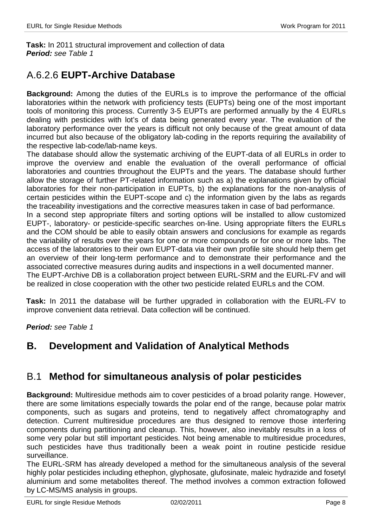**Task:** In 2011 structural improvement and collection of data **Period:** see Table 1

# A.6.2.6 **EUPT-Archive Database**

**Background:** Among the duties of the EURLs is to improve the performance of the official laboratories within the network with proficiency tests (EUPTs) being one of the most important tools of monitoring this process. Currently 3-5 EUPTs are performed annually by the 4 EURLs dealing with pesticides with lot's of data being generated every year. The evaluation of the laboratory performance over the years is difficult not only because of the great amount of data incurred but also because of the obligatory lab-coding in the reports requiring the availability of the respective lab-code/lab-name keys.

The database should allow the systematic archiving of the EUPT-data of all EURLs in order to improve the overview and enable the evaluation of the overall performance of official laboratories and countries throughout the EUPTs and the years. The database should further allow the storage of further PT-related information such as a) the explanations given by official laboratories for their non-participation in EUPTs, b) the explanations for the non-analysis of certain pesticides within the EUPT-scope and c) the information given by the labs as regards the traceability investigations and the corrective measures taken in case of bad performance.

In a second step appropriate filters and sorting options will be installed to allow customized EUPT-, laboratory- or pesticide-specific searches on-line. Using appropriate filters the EURLs and the COM should be able to easily obtain answers and conclusions for example as regards the variability of results over the years for one or more compounds or for one or more labs. The access of the laboratories to their own EUPT-data via their own profile site should help them get an overview of their long-term performance and to demonstrate their performance and the associated corrective measures during audits and inspections in a well documented manner. The EUPT-Archive DB is a collaboration project between EURL-SRM and the EURL-FV and will

be realized in close cooperation with the other two pesticide related EURLs and the COM.

**Task:** In 2011 the database will be further upgraded in collaboration with the EURL-FV to improve convenient data retrieval. Data collection will be continued.

**Period:** see Table 1

# **B. Development and Validation of Analytical Methods**

### B.1 **Method for simultaneous analysis of polar pesticides**

**Background:** Multiresidue methods aim to cover pesticides of a broad polarity range. However, there are some limitations especially towards the polar end of the range, because polar matrix components, such as sugars and proteins, tend to negatively affect chromatography and detection. Current multiresidue procedures are thus designed to remove those interfering components during partitioning and cleanup. This, however, also inevitably results in a loss of some very polar but still important pesticides. Not being amenable to multiresidue procedures, such pesticides have thus traditionally been a weak point in routine pesticide residue surveillance.

The EURL-SRM has already developed a method for the simultaneous analysis of the several highly polar pesticides including ethephon, glyphosate, glufosinate, maleic hydrazide and fosetyl aluminium and some metabolites thereof. The method involves a common extraction followed by LC-MS/MS analysis in groups.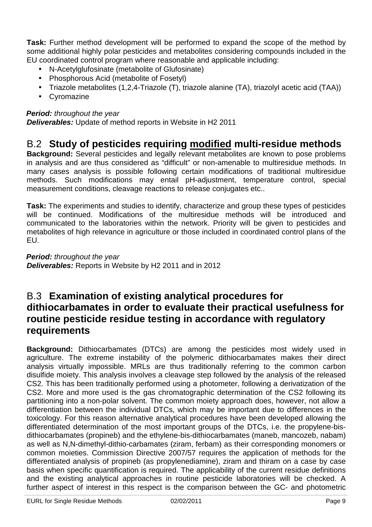**Task:** Further method development will be performed to expand the scope of the method by some additional highly polar pesticides and metabolites considering compounds included in the EU coordinated control program where reasonable and applicable including:

- N-Acetylglufosinate (metabolite of Glufosinate)
- Phosphorous Acid (metabolite of Fosetyl)
- Triazole metabolites (1,2,4-Triazole (T), triazole alanine (TA), triazolyl acetic acid (TAA))
- Cyromazine

#### **Period:** throughout the year

**Deliverables:** Update of method reports in Website in H2 2011

### B.2 **Study of pesticides requiring modified multi-residue methods**

**Background:** Several pesticides and legally relevant metabolites are known to pose problems in analysis and are thus considered as "difficult" or non-amenable to multiresidue methods. In many cases analysis is possible following certain modifications of traditional multiresidue methods. Such modifications may entail pH-adjustment, temperature control, special measurement conditions, cleavage reactions to release conjugates etc..

**Task:** The experiments and studies to identify, characterize and group these types of pesticides will be continued. Modifications of the multiresidue methods will be introduced and communicated to the laboratories within the network. Priority will be given to pesticides and metabolites of high relevance in agriculture or those included in coordinated control plans of the EU.

**Period:** throughout the year **Deliverables:** Reports in Website by H2 2011 and in 2012

# B.3 **Examination of existing analytical procedures for dithiocarbamates in order to evaluate their practical usefulness for routine pesticide residue testing in accordance with regulatory requirements**

**Background:** Dithiocarbamates (DTCs) are among the pesticides most widely used in agriculture. The extreme instability of the polymeric dithiocarbamates makes their direct analysis virtually impossible. MRLs are thus traditionally referring to the common carbon disulfide moiety. This analysis involves a cleavage step followed by the analysis of the released CS2. This has been traditionally performed using a photometer, following a derivatization of the CS2. More and more used is the gas chromatographic determination of the CS2 following its partitioning into a non-polar solvent. The common moiety approach does, however, not allow a differentiation between the individual DTCs, which may be important due to differences in the toxicology. For this reason alternative analytical procedures have been developed allowing the differentiated determination of the most important groups of the DTCs, i.e. the propylene-bisdithiocarbamates (propineb) and the ethylene-bis-dithiocarbamates (maneb, mancozeb, nabam) as well as N,N-dimethyl-dithio-carbamates (ziram, ferbam) as their corresponding monomers or common moieties. Commission Directive 2007/57 requires the application of methods for the differentiated analysis of propineb (as propylenediamine), ziram and thiram on a case by case basis when specific quantification is required. The applicability of the current residue definitions and the existing analytical approaches in routine pesticide laboratories will be checked. A further aspect of interest in this respect is the comparison between the GC- and photometric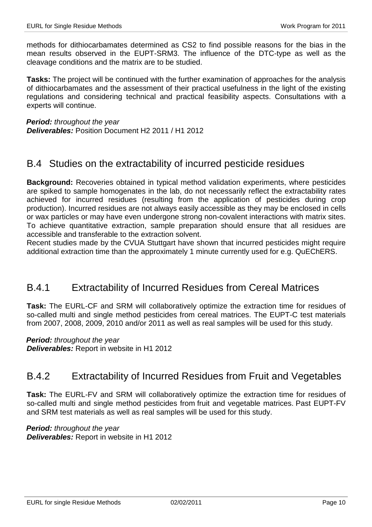methods for dithiocarbamates determined as CS2 to find possible reasons for the bias in the mean results observed in the EUPT-SRM3. The influence of the DTC-type as well as the cleavage conditions and the matrix are to be studied.

**Tasks:** The project will be continued with the further examination of approaches for the analysis of dithiocarbamates and the assessment of their practical usefulness in the light of the existing regulations and considering technical and practical feasibility aspects. Consultations with a experts will continue.

**Period:** throughout the year **Deliverables:** Position Document H2 2011 / H1 2012

### B.4 Studies on the extractability of incurred pesticide residues

**Background:** Recoveries obtained in typical method validation experiments, where pesticides are spiked to sample homogenates in the lab, do not necessarily reflect the extractability rates achieved for incurred residues (resulting from the application of pesticides during crop production). Incurred residues are not always easily accessible as they may be enclosed in cells or wax particles or may have even undergone strong non-covalent interactions with matrix sites. To achieve quantitative extraction, sample preparation should ensure that all residues are accessible and transferable to the extraction solvent.

Recent studies made by the CVUA Stuttgart have shown that incurred pesticides might require additional extraction time than the approximately 1 minute currently used for e.g. QuEChERS.

### B.4.1 Extractability of Incurred Residues from Cereal Matrices

**Task:** The EURL-CF and SRM will collaboratively optimize the extraction time for residues of so-called multi and single method pesticides from cereal matrices. The EUPT-C test materials from 2007, 2008, 2009, 2010 and/or 2011 as well as real samples will be used for this study.

**Period:** throughout the year

**Deliverables:** Report in website in H1 2012

### B.4.2 Extractability of Incurred Residues from Fruit and Vegetables

**Task:** The EURL-FV and SRM will collaboratively optimize the extraction time for residues of so-called multi and single method pesticides from fruit and vegetable matrices. Past EUPT-FV and SRM test materials as well as real samples will be used for this study.

**Period:** throughout the year **Deliverables:** Report in website in H1 2012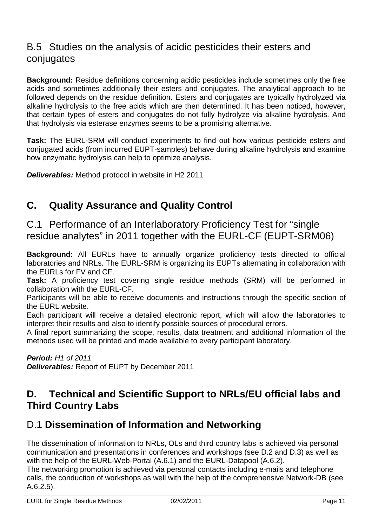# B.5 Studies on the analysis of acidic pesticides their esters and conjugates

**Background:** Residue definitions concerning acidic pesticides include sometimes only the free acids and sometimes additionally their esters and conjugates. The analytical approach to be followed depends on the residue definition. Esters and conjugates are typically hydrolyzed via alkaline hydrolysis to the free acids which are then determined. It has been noticed, however, that certain types of esters and conjugates do not fully hydrolyze via alkaline hydrolysis. And that hydrolysis via esterase enzymes seems to be a promising alternative.

**Task:** The EURL-SRM will conduct experiments to find out how various pesticide esters and conjugated acids (from incurred EUPT-samples) behave during alkaline hydrolysis and examine how enzymatic hydrolysis can help to optimize analysis.

**Deliverables:** Method protocol in website in H2 2011

# **C. Quality Assurance and Quality Control**

C.1 Performance of an Interlaboratory Proficiency Test for "single residue analytes" in 2011 together with the EURL-CF (EUPT-SRM06)

**Background:** All EURLs have to annually organize proficiency tests directed to official laboratories and NRLs. The EURL-SRM is organizing its EUPTs alternating in collaboration with the EURLs for FV and CF.

**Task:** A proficiency test covering single residue methods (SRM) will be performed in collaboration with the EURL-CF.

Participants will be able to receive documents and instructions through the specific section of the EURL website.

Each participant will receive a detailed electronic report, which will allow the laboratories to interpret their results and also to identify possible sources of procedural errors.

A final report summarizing the scope, results, data treatment and additional information of the methods used will be printed and made available to every participant laboratory.

**Period:** H1 of 2011 **Deliverables:** Report of EUPT by December 2011

# **D. Technical and Scientific Support to NRLs/EU official labs and Third Country Labs**

# D.1 **Dissemination of Information and Networking**

The dissemination of information to NRLs, OLs and third country labs is achieved via personal communication and presentations in conferences and workshops (see D.2 and D.3) as well as with the help of the EURL-Web-Portal (A.6.1) and the EURL-Datapool (A.6.2).

The networking promotion is achieved via personal contacts including e-mails and telephone calls, the conduction of workshops as well with the help of the comprehensive Network-DB (see A.6.2.5).